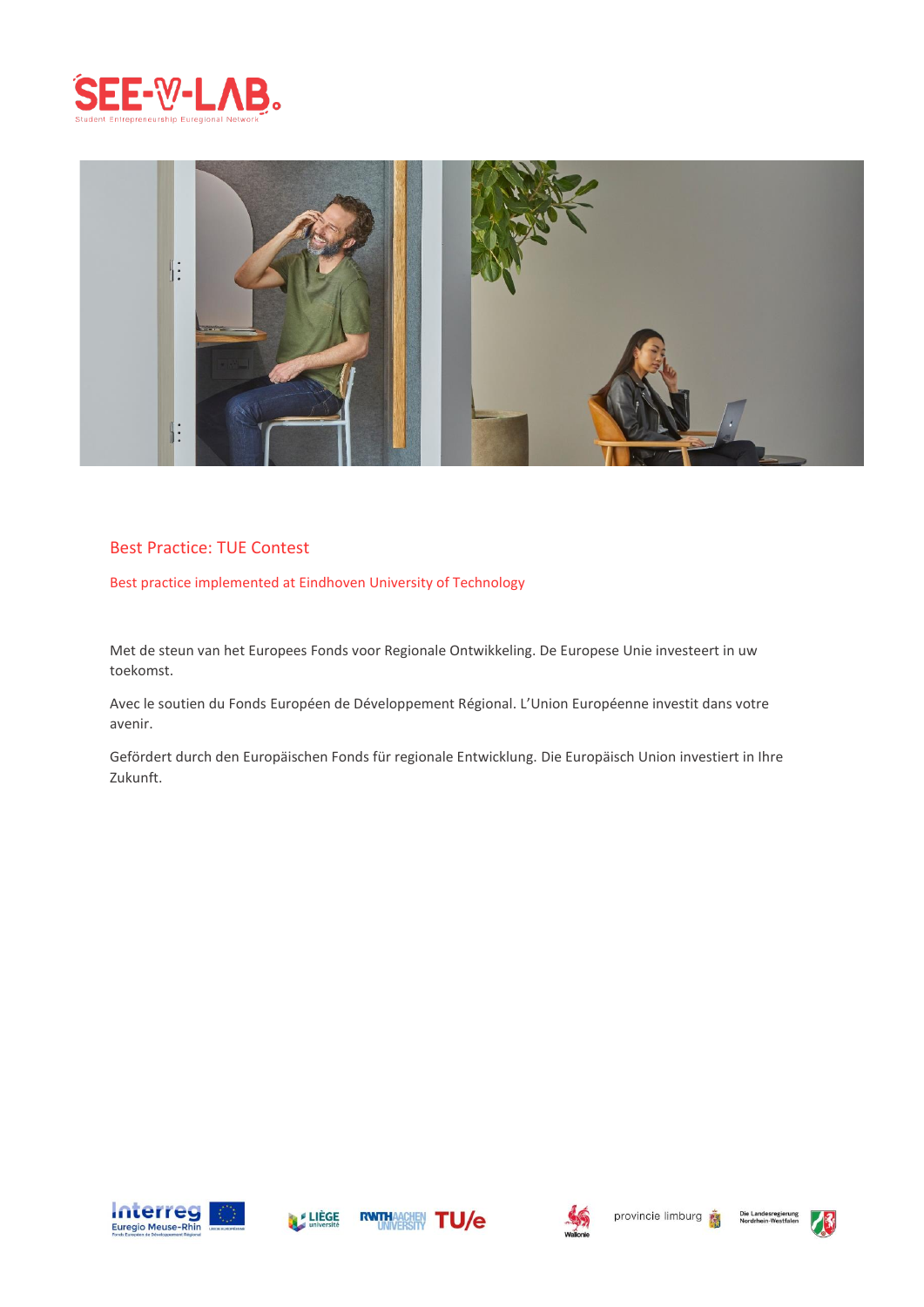



# Best Practice: TUE Contest

Best practice implemented at Eindhoven University of Technology

Met de steun van het Europees Fonds voor Regionale Ontwikkeling. De Europese Unie investeert in uw toekomst.

Avec le soutien du Fonds Européen de Développement Régional. L'Union Européenne investit dans votre avenir.

Gefördert durch den Europäischen Fonds für regionale Entwicklung. Die Europäisch Union investiert in Ihre Zukunft.









Die Landesre<br>Nordrhein-We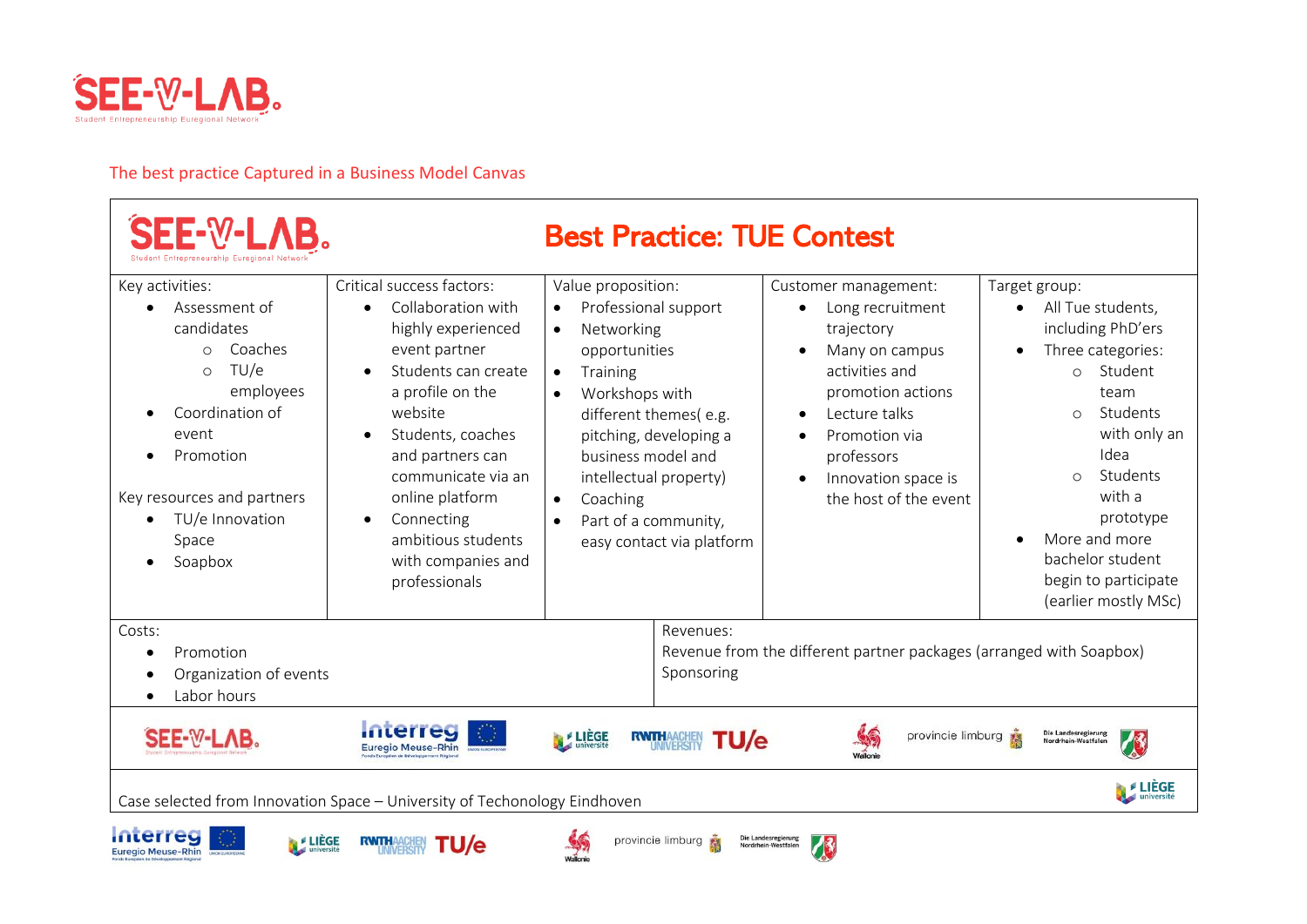

# The best practice Captured in a Business Model Canvas

| Case selected from Innovation Space - University of Techonology Eindhoven                                                                                                                                              |                                                                                                                                                                                                                                                                                                                                     |                                                                                                                                                                                                                                                                                                                                 |                                                                                                                                                                                                                 | LIÈGE                                                                                                                                                                                                                                                                                                                        |
|------------------------------------------------------------------------------------------------------------------------------------------------------------------------------------------------------------------------|-------------------------------------------------------------------------------------------------------------------------------------------------------------------------------------------------------------------------------------------------------------------------------------------------------------------------------------|---------------------------------------------------------------------------------------------------------------------------------------------------------------------------------------------------------------------------------------------------------------------------------------------------------------------------------|-----------------------------------------------------------------------------------------------------------------------------------------------------------------------------------------------------------------|------------------------------------------------------------------------------------------------------------------------------------------------------------------------------------------------------------------------------------------------------------------------------------------------------------------------------|
| SEE-W-LAB.                                                                                                                                                                                                             | mterred<br><b>Euregio Meuse-Rhin</b>                                                                                                                                                                                                                                                                                                | <b>E</b> LIEGE<br><b>RWTHAACHEN</b><br>'U/e                                                                                                                                                                                                                                                                                     | provincie limburg                                                                                                                                                                                               | Die Landesregierung<br>Nordrhein-Westfalen                                                                                                                                                                                                                                                                                   |
| Costs:<br>Promotion<br>$\bullet$<br>Organization of events<br>Labor hours                                                                                                                                              |                                                                                                                                                                                                                                                                                                                                     | Revenues:<br>Sponsoring                                                                                                                                                                                                                                                                                                         | Revenue from the different partner packages (arranged with Soapbox)                                                                                                                                             |                                                                                                                                                                                                                                                                                                                              |
| Key activities:<br>Assessment of<br>candidates<br>Coaches<br>$\Omega$<br>TU/e<br>$\bigcirc$<br>employees<br>Coordination of<br>event<br>Promotion<br>Key resources and partners<br>TU/e Innovation<br>Space<br>Soapbox | Critical success factors:<br>Collaboration with<br>$\bullet$<br>highly experienced<br>event partner<br>Students can create<br>a profile on the<br>website<br>Students, coaches<br>and partners can<br>communicate via an<br>online platform<br>Connecting<br>$\bullet$<br>ambitious students<br>with companies and<br>professionals | Value proposition:<br>Professional support<br>Networking<br>$\bullet$<br>opportunities<br>Training<br>$\bullet$<br>Workshops with<br>$\bullet$<br>different themes(e.g.<br>pitching, developing a<br>business model and<br>intellectual property)<br>Coaching<br>$\bullet$<br>Part of a community,<br>easy contact via platform | Customer management:<br>Long recruitment<br>trajectory<br>Many on campus<br>activities and<br>promotion actions<br>Lecture talks<br>Promotion via<br>professors<br>Innovation space is<br>the host of the event | Target group:<br>All Tue students,<br>$\bullet$<br>including PhD'ers<br>Three categories:<br>$\bullet$<br>Student<br>$\Omega$<br>team<br>Students<br>$\bigcap$<br>with only an<br>Idea<br>Students<br>$\bigcirc$<br>with a<br>prototype<br>More and more<br>bachelor student<br>begin to participate<br>(earlier mostly MSc) |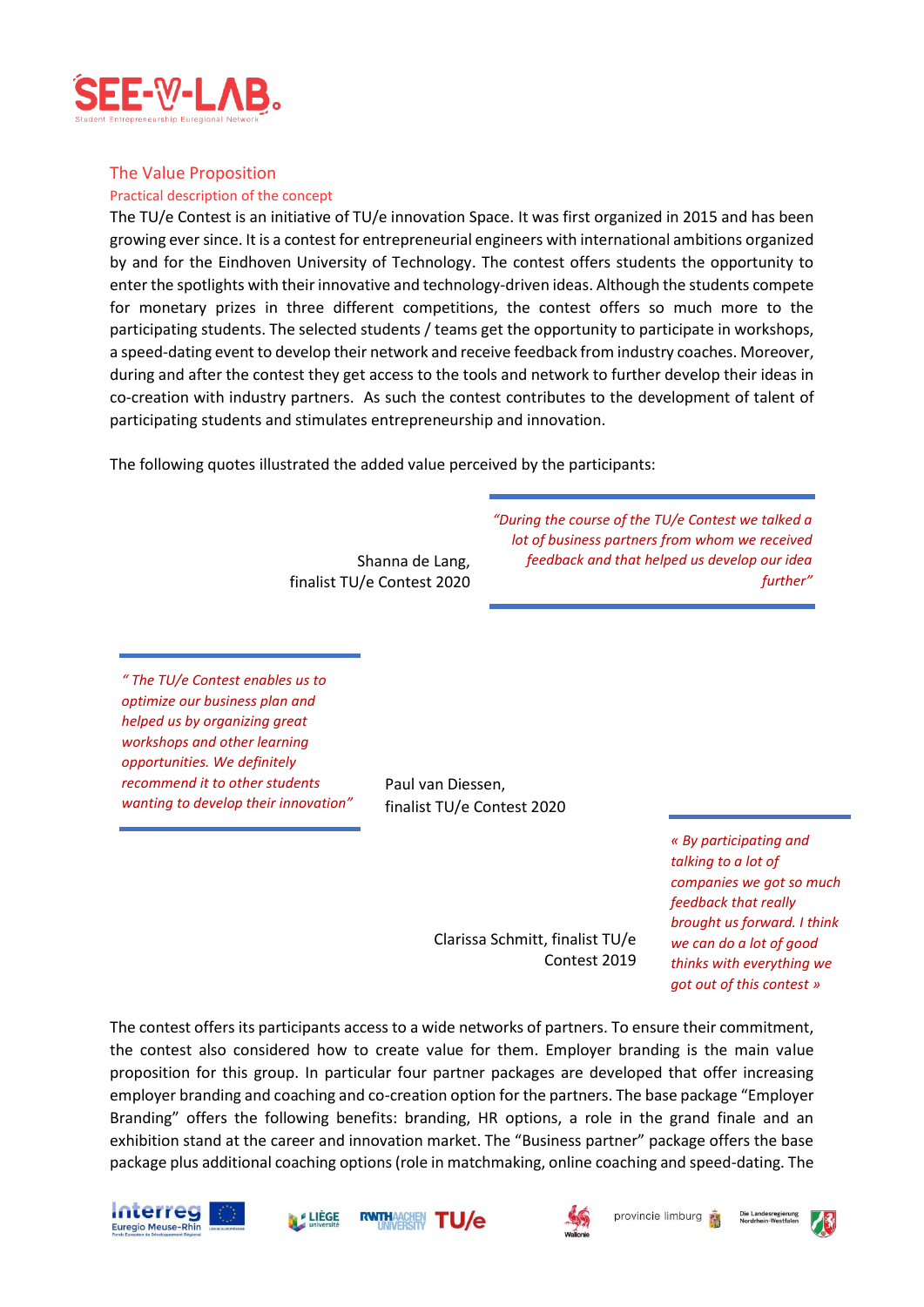

## The Value Proposition

#### Practical description of the concept

The TU/e Contest is an initiative of TU/e innovation Space. It was first organized in 2015 and has been growing ever since. It is a contest for entrepreneurial engineers with international ambitions organized by and for the Eindhoven University of Technology. The contest offers students the opportunity to enter the spotlights with their innovative and technology-driven ideas. Although the students compete for monetary prizes in three different competitions, the contest offers so much more to the participating students. The selected students / teams get the opportunity to participate in workshops, a speed-dating event to develop their network and receive feedback from industry coaches. Moreover, during and after the contest they get access to the tools and network to further develop their ideas in co-creation with industry partners. As such the contest contributes to the development of talent of participating students and stimulates entrepreneurship and innovation.

The following quotes illustrated the added value perceived by the participants:

Shanna de Lang, finalist TU/e Contest 2020 *"During the course of the TU/e Contest we talked a lot of business partners from whom we received feedback and that helped us develop our idea further"*

*" The TU/e Contest enables us to optimize our business plan and helped us by organizing great workshops and other learning opportunities. We definitely recommend it to other students wanting to develop their innovation"*

Paul van Diessen, finalist TU/e Contest 2020

> *« By participating and talking to a lot of companies we got so much feedback that really brought us forward. I think we can do a lot of good thinks with everything we got out of this contest »*

Clarissa Schmitt, finalist TU/e Contest 2019

The contest offers its participants access to a wide networks of partners. To ensure their commitment, the contest also considered how to create value for them. Employer branding is the main value proposition for this group. In particular four partner packages are developed that offer increasing employer branding and coaching and co-creation option for the partners. The base package "Employer Branding" offers the following benefits: branding, HR options, a role in the grand finale and an exhibition stand at the career and innovation market. The "Business partner" package offers the base package plus additional coaching options (role in matchmaking, online coaching and speed-dating. The









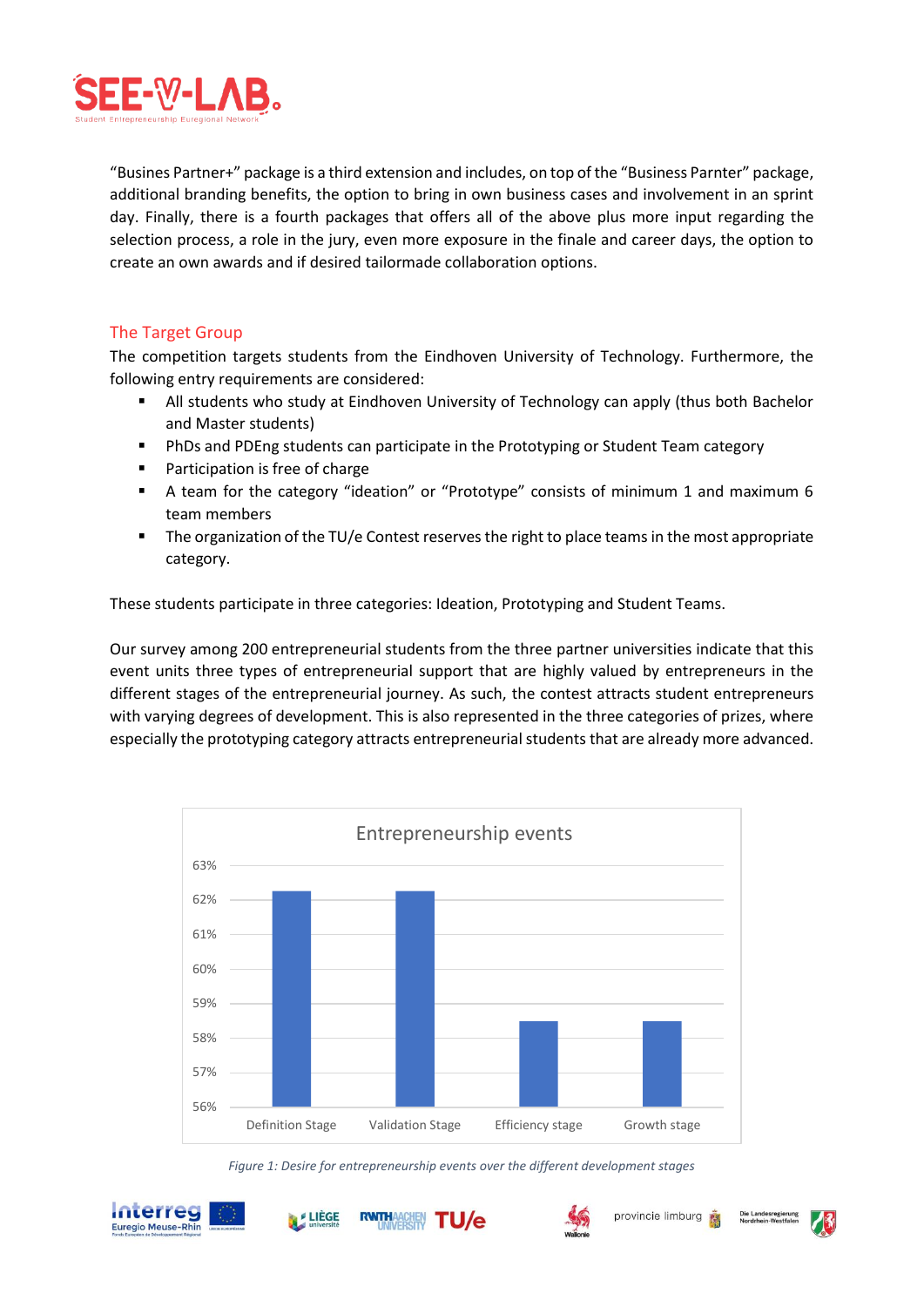

"Busines Partner+" package is a third extension and includes, on top of the "Business Parnter" package, additional branding benefits, the option to bring in own business cases and involvement in an sprint day. Finally, there is a fourth packages that offers all of the above plus more input regarding the selection process, a role in the jury, even more exposure in the finale and career days, the option to create an own awards and if desired tailormade collaboration options.

# The Target Group

The competition targets students from the Eindhoven University of Technology. Furthermore, the following entry requirements are considered:

- All students who study at Eindhoven University of Technology can apply (thus both Bachelor and Master students)
- **PhDs and PDEng students can participate in the Prototyping or Student Team category**
- Participation is free of charge
- A team for the category "ideation" or "Prototype" consists of minimum 1 and maximum 6 team members
- The organization of the TU/e Contest reserves the right to place teams in the most appropriate category.

These students participate in three categories: Ideation, Prototyping and Student Teams.

Our survey among 200 entrepreneurial students from the three partner universities indicate that this event units three types of entrepreneurial support that are highly valued by entrepreneurs in the different stages of the entrepreneurial journey. As such, the contest attracts student entrepreneurs with varying degrees of development. This is also represented in the three categories of prizes, where especially the prototyping category attracts entrepreneurial students that are already more advanced.



*Figure 1: Desire for entrepreneurship events over the different development stages*





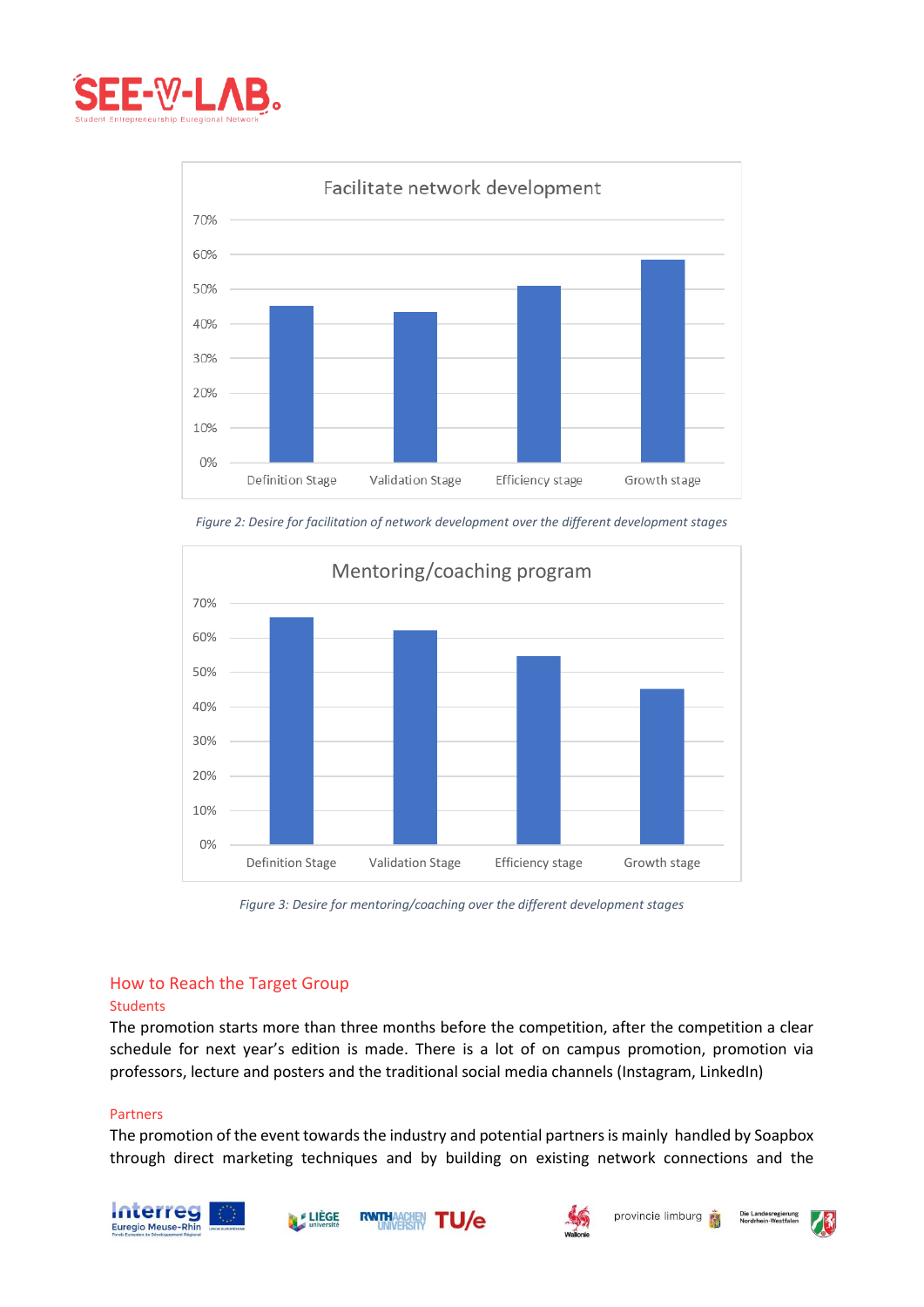



*Figure 2: Desire for facilitation of network development over the different development stages*



*Figure 3: Desire for mentoring/coaching over the different development stages*

# How to Reach the Target Group

#### Students

The promotion starts more than three months before the competition, after the competition a clear schedule for next year's edition is made. There is a lot of on campus promotion, promotion via professors, lecture and posters and the traditional social media channels (Instagram, LinkedIn)

#### Partners

The promotion of the event towards the industry and potential partners is mainly handled by Soapbox through direct marketing techniques and by building on existing network connections and the









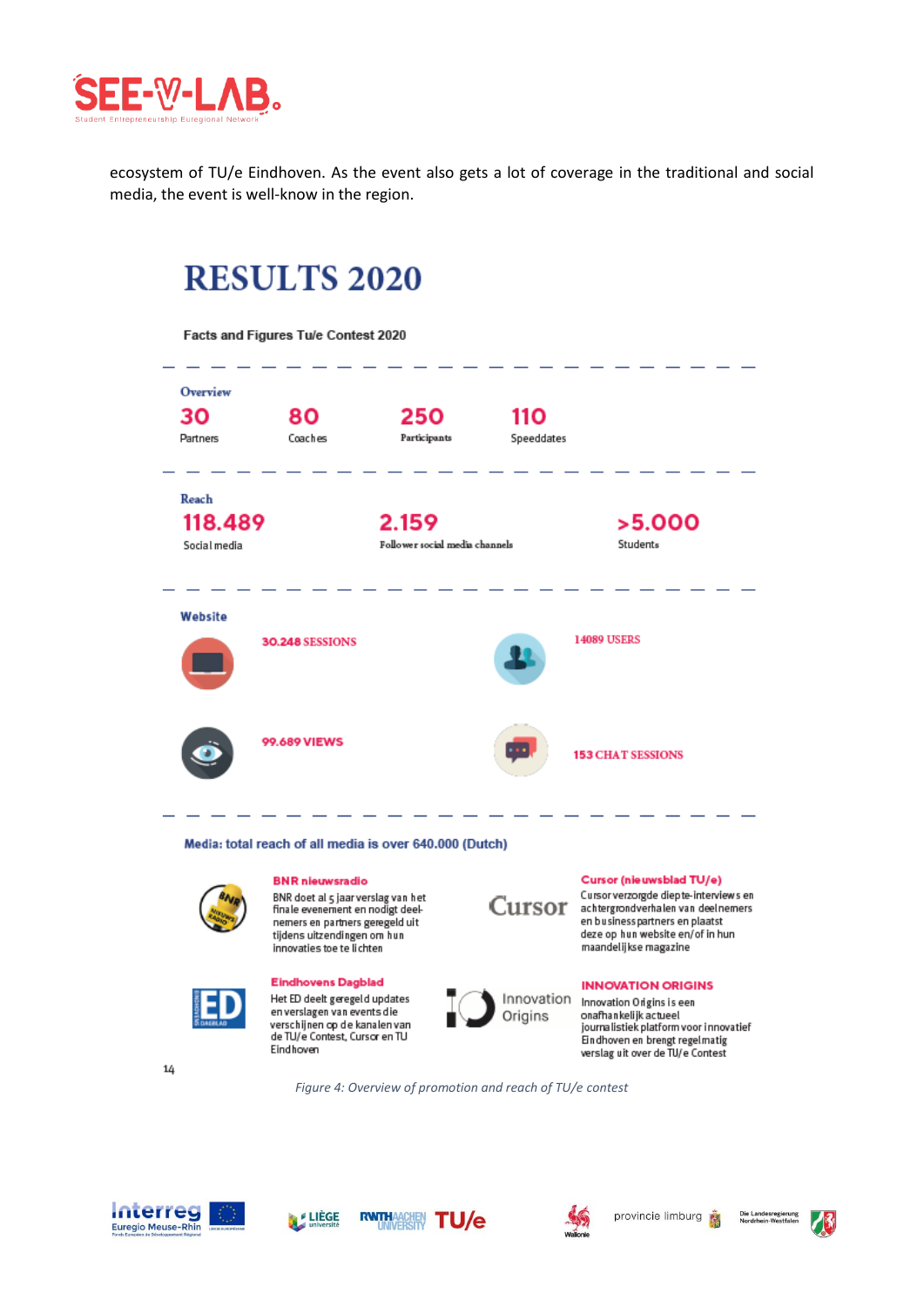

ecosystem of TU/e Eindhoven. As the event also gets a lot of coverage in the traditional and social media, the event is well-know in the region.

# **RESULTS 2020**

Facts and Figures Tu/e Contest 2020 Overview 30 250 110 80 Coaches Participants Speeddates **Partners** Reach 2.159 118,489  $>5.000$ Social media Follower social media channels Students Website **14089 USERS 30.248 SESSIONS 99,689 VIEWS 153 CHAT SESSIONS** Media: total reach of all media is over 640.000 (Dutch) Cursor (nieuwsblad TU/e) **BNR** nieuwsradio Cursor verzorgde diepte-interviews en BNR doet al 5 jaar verslag van het Cursor finale evenement en nodigt deelnemers en partners geregeld uit

innovaties toe te lichten **Eindhovens Dagblad** Het ED deelt geregeld updates en verslagen van events die

verschijnen op de kanalen van<br>de TU/e Contest, Cursor en TU

Eindhoven

tijdens uitzendingen om hun

Innovation Origins

achtergrondverhalen van deelnemers en business partners en plaatst deze op hun website en/ of in hun maandelijkse magazine

#### **INNOVATION ORIGINS**

Innovation Origins is een onafhankelijk actueel journalistiek platform voor innovatief Eindhoven en brengt regelmatig verslag uit over de TU/e Contest

14

*Figure 4: Overview of promotion and reach of TU/e contest*







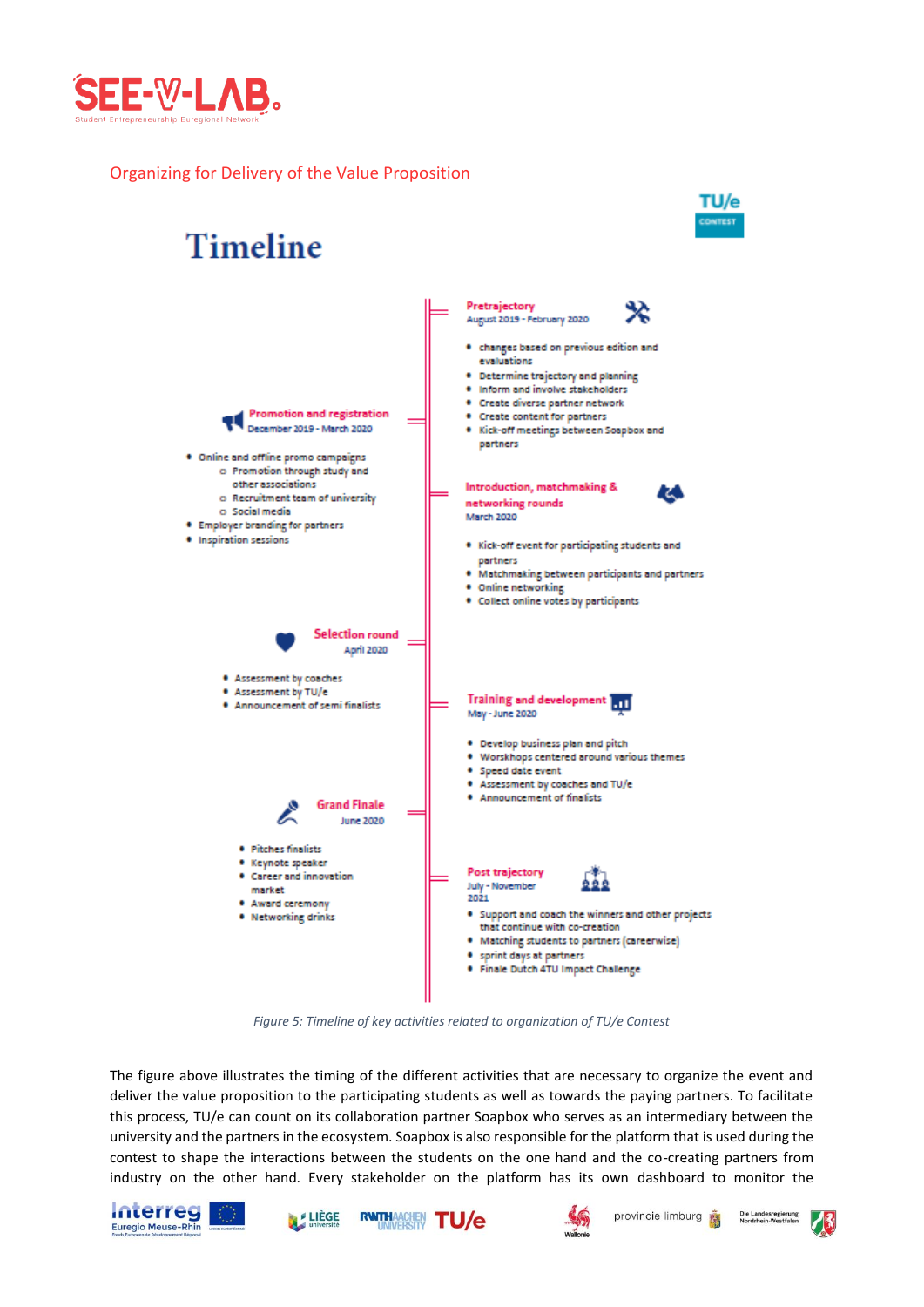

# Organizing for Delivery of the Value Proposition



*Figure 5: Timeline of key activities related to organization of TU/e Contest*

The figure above illustrates the timing of the different activities that are necessary to organize the event and deliver the value proposition to the participating students as well as towards the paying partners. To facilitate this process, TU/e can count on its collaboration partner Soapbox who serves as an intermediary between the university and the partners in the ecosystem. Soapbox is also responsible for the platform that is used during the contest to shape the interactions between the students on the one hand and the co-creating partners from industry on the other hand. Every stakeholder on the platform has its own dashboard to monitor the